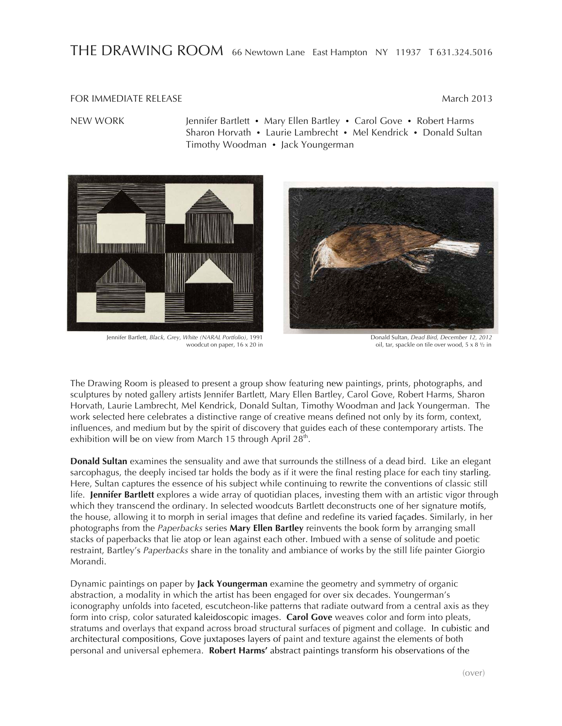## THE DRAWING ROOM 66 Newtown Lane East Hampton NY 11937 T 631.324.5016

## FOR IMMEDIATE RELEASE **March 2013**

NEW WORK Jennifer Bartlett • Mary Ellen Bartley • Carol Gove • Robert Harms Sharon Horvath • Laurie Lambrecht • Mel Kendrick • Donald Sultan Timothy Woodman • Jack Youngerman



Jennifer Bartlett, *Black, Grey, White (NARAL Portfolio),* 1991 Donald Sultan, *Dead Bird, December 12, 2012*



woodcut on paper,  $16 \times 20$  in  $\qquad \qquad$  oil, tar, spackle on tile over wood,  $5 \times 8$   $\frac{1}{2}$  in

The Drawing Room is pleased to present a group show featuring new paintings, prints, photographs, and sculptures by noted gallery artists Jennifer Bartlett, Mary Ellen Bartley, Carol Gove, Robert Harms, Sharon Horvath, Laurie Lambrecht, Mel Kendrick, Donald Sultan, Timothy Woodman and Jack Youngerman. The work selected here celebrates a distinctive range of creative means defined not only by its form, context, influences, and medium but by the spirit of discovery that guides each of these contemporary artists. The exhibition will be on view from March 15 through April 28<sup>th</sup>.

**Donald Sultan** examines the sensuality and awe that surrounds the stillness of a dead bird. Like an elegant sarcophagus, the deeply incised tar holds the body as if it were the final resting place for each tiny starling. Here, Sultan captures the essence of his subject while continuing to rewrite the conventions of classic still life. **Jennifer Bartlett** explores a wide array of quotidian places, investing them with an artistic vigor through which they transcend the ordinary. In selected woodcuts Bartlett deconstructs one of her signature motifs, the house, allowing it to morph in serial images that define and redefine its varied façades. Similarly, in her photographs from the *Paperbacks* series **Mary Ellen Bartley** reinvents the book form by arranging small stacks of paperbacks that lie atop or lean against each other. Imbued with a sense of solitude and poetic restraint, Bartley's *Paperbacks* share in the tonality and ambiance of works by the still life painter Giorgio Morandi.

Dynamic paintings on paper by **Jack Youngerman** examine the geometry and symmetry of organic abstraction, a modality in which the artist has been engaged for over six decades. Youngerman's iconography unfolds into faceted, escutcheon-like patterns that radiate outward from a central axis as they form into crisp, color saturated kaleidoscopic images. **Carol Gove** weaves color and form into pleats, stratums and overlays that expand across broad structural surfaces of pigment and collage. In cubistic and architectural compositions, Gove juxtaposes layers of paint and texture against the elements of both personal and universal ephemera. **Robert Harms'** abstract paintings transform his observations of the